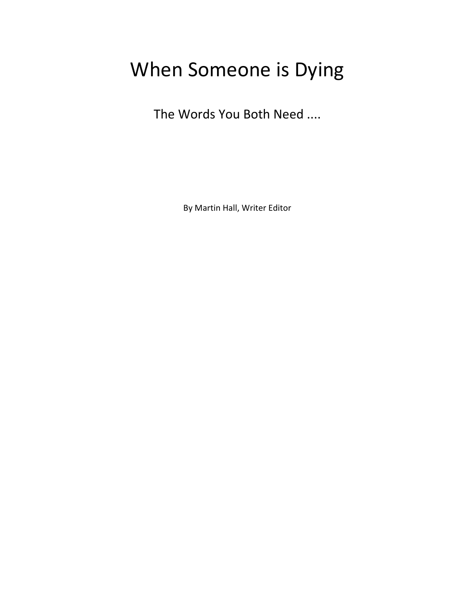# When Someone is Dying

The Words You Both Need ....

By Martin Hall, Writer Editor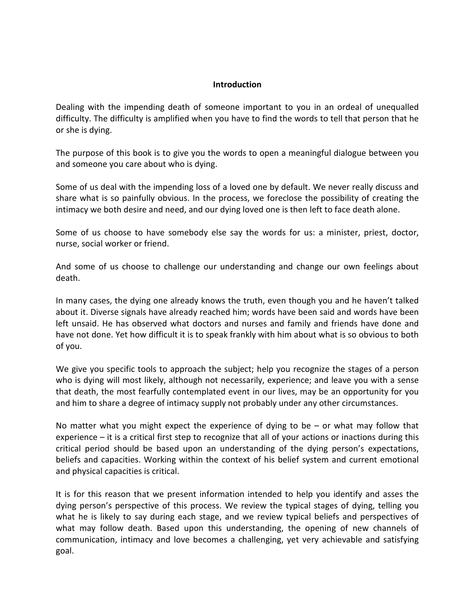#### **Introduction**

Dealing with the impending death of someone important to you in an ordeal of unequalled difficulty. The difficulty is amplified when you have to find the words to tell that person that he or she is dying.

The purpose of this book is to give you the words to open a meaningful dialogue between you and someone you care about who is dying.

Some of us deal with the impending loss of a loved one by default. We never really discuss and share what is so painfully obvious. In the process, we foreclose the possibility of creating the intimacy we both desire and need, and our dying loved one is then left to face death alone.

Some of us choose to have somebody else say the words for us: a minister, priest, doctor, nurse, social worker or friend.

And some of us choose to challenge our understanding and change our own feelings about death.

In many cases, the dying one already knows the truth, even though you and he haven't talked about it. Diverse signals have already reached him; words have been said and words have been left unsaid. He has observed what doctors and nurses and family and friends have done and have not done. Yet how difficult it is to speak frankly with him about what is so obvious to both of you.

We give you specific tools to approach the subject; help you recognize the stages of a person who is dying will most likely, although not necessarily, experience; and leave you with a sense that death, the most fearfully contemplated event in our lives, may be an opportunity for you and him to share a degree of intimacy supply not probably under any other circumstances.

No matter what you might expect the experience of dying to be  $-$  or what may follow that experience – it is a critical first step to recognize that all of your actions or inactions during this critical period should be based upon an understanding of the dying person's expectations, beliefs and capacities. Working within the context of his belief system and current emotional and physical capacities is critical.

It is for this reason that we present information intended to help you identify and asses the dying person's perspective of this process. We review the typical stages of dying, telling you what he is likely to say during each stage, and we review typical beliefs and perspectives of what may follow death. Based upon this understanding, the opening of new channels of communication, intimacy and love becomes a challenging, yet very achievable and satisfying goal.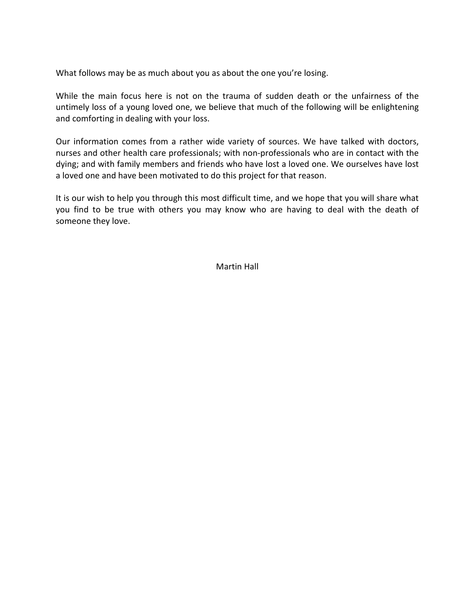What follows may be as much about you as about the one you're losing.

While the main focus here is not on the trauma of sudden death or the unfairness of the untimely loss of a young loved one, we believe that much of the following will be enlightening and comforting in dealing with your loss.

Our information comes from a rather wide variety of sources. We have talked with doctors, nurses and other health care professionals; with non-professionals who are in contact with the dying; and with family members and friends who have lost a loved one. We ourselves have lost a loved one and have been motivated to do this project for that reason.

It is our wish to help you through this most difficult time, and we hope that you will share what you find to be true with others you may know who are having to deal with the death of someone they love.

Martin Hall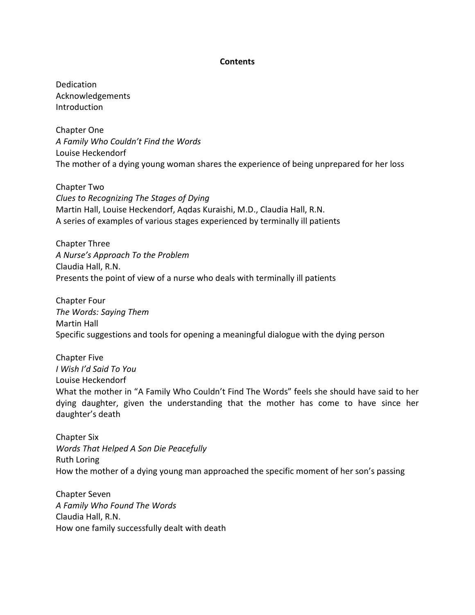#### **Contents**

Dedication Acknowledgements Introduction

Chapter One A Family Who Couldn't Find the Words Louise Heckendorf The mother of a dying young woman shares the experience of being unprepared for her loss

Chapter Two Clues to Recognizing The Stages of Dying Martin Hall, Louise Heckendorf, Aqdas Kuraishi, M.D., Claudia Hall, R.N. A series of examples of various stages experienced by terminally ill patients

Chapter Three A Nurse's Approach To the Problem Claudia Hall, R.N. Presents the point of view of a nurse who deals with terminally ill patients

Chapter Four The Words: Saying Them Martin Hall Specific suggestions and tools for opening a meaningful dialogue with the dying person

Chapter Five I Wish I'd Said To You Louise Heckendorf What the mother in "A Family Who Couldn't Find The Words" feels she should have said to her dying daughter, given the understanding that the mother has come to have since her daughter's death

Chapter Six Words That Helped A Son Die Peacefully Ruth Loring How the mother of a dying young man approached the specific moment of her son's passing

Chapter Seven A Family Who Found The Words Claudia Hall, R.N. How one family successfully dealt with death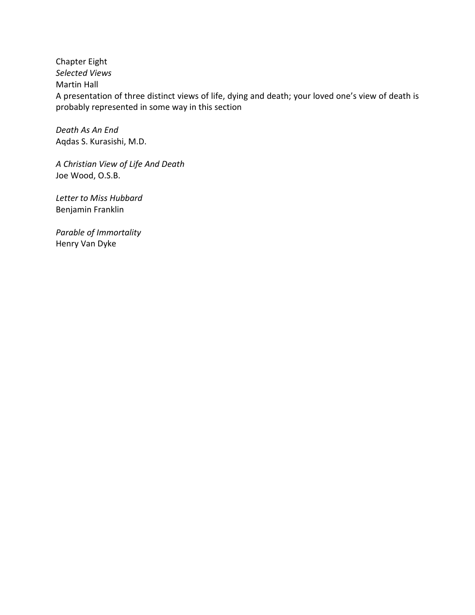Chapter Eight Selected Views Martin Hall A presentation of three distinct views of life, dying and death; your loved one's view of death is probably represented in some way in this section

Death As An End Aqdas S. Kurasishi, M.D.

A Christian View of Life And Death Joe Wood, O.S.B.

Letter to Miss Hubbard Benjamin Franklin

Parable of Immortality Henry Van Dyke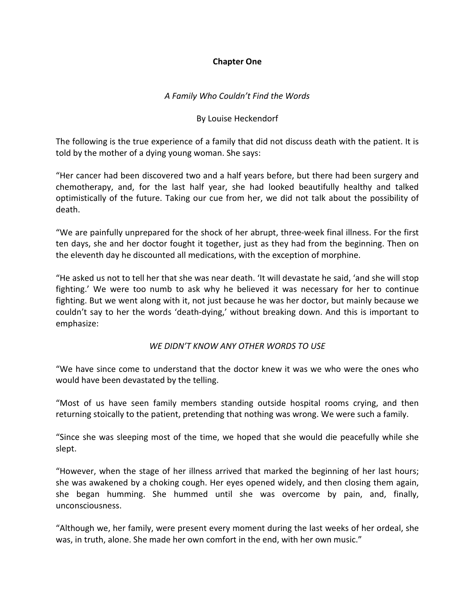## Chapter One

## A Family Who Couldn't Find the Words

## By Louise Heckendorf

The following is the true experience of a family that did not discuss death with the patient. It is told by the mother of a dying young woman. She says:

"Her cancer had been discovered two and a half years before, but there had been surgery and chemotherapy, and, for the last half year, she had looked beautifully healthy and talked optimistically of the future. Taking our cue from her, we did not talk about the possibility of death.

"We are painfully unprepared for the shock of her abrupt, three-week final illness. For the first ten days, she and her doctor fought it together, just as they had from the beginning. Then on the eleventh day he discounted all medications, with the exception of morphine.

"He asked us not to tell her that she was near death. 'It will devastate he said, 'and she will stop fighting.' We were too numb to ask why he believed it was necessary for her to continue fighting. But we went along with it, not just because he was her doctor, but mainly because we couldn't say to her the words 'death-dying,' without breaking down. And this is important to emphasize:

## WE DIDN'T KNOW ANY OTHER WORDS TO USE

"We have since come to understand that the doctor knew it was we who were the ones who would have been devastated by the telling.

"Most of us have seen family members standing outside hospital rooms crying, and then returning stoically to the patient, pretending that nothing was wrong. We were such a family.

"Since she was sleeping most of the time, we hoped that she would die peacefully while she slept.

"However, when the stage of her illness arrived that marked the beginning of her last hours; she was awakened by a choking cough. Her eyes opened widely, and then closing them again, she began humming. She hummed until she was overcome by pain, and, finally, unconsciousness.

"Although we, her family, were present every moment during the last weeks of her ordeal, she was, in truth, alone. She made her own comfort in the end, with her own music."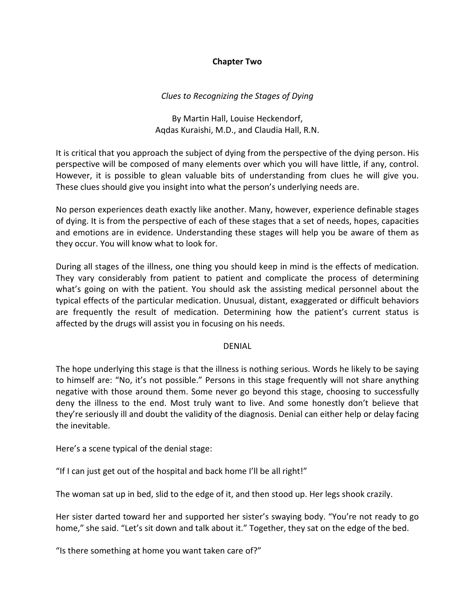## Chapter Two

# Clues to Recognizing the Stages of Dying

By Martin Hall, Louise Heckendorf, Aqdas Kuraishi, M.D., and Claudia Hall, R.N.

It is critical that you approach the subject of dying from the perspective of the dying person. His perspective will be composed of many elements over which you will have little, if any, control. However, it is possible to glean valuable bits of understanding from clues he will give you. These clues should give you insight into what the person's underlying needs are.

No person experiences death exactly like another. Many, however, experience definable stages of dying. It is from the perspective of each of these stages that a set of needs, hopes, capacities and emotions are in evidence. Understanding these stages will help you be aware of them as they occur. You will know what to look for.

During all stages of the illness, one thing you should keep in mind is the effects of medication. They vary considerably from patient to patient and complicate the process of determining what's going on with the patient. You should ask the assisting medical personnel about the typical effects of the particular medication. Unusual, distant, exaggerated or difficult behaviors are frequently the result of medication. Determining how the patient's current status is affected by the drugs will assist you in focusing on his needs.

## DENIAL

The hope underlying this stage is that the illness is nothing serious. Words he likely to be saying to himself are: "No, it's not possible." Persons in this stage frequently will not share anything negative with those around them. Some never go beyond this stage, choosing to successfully deny the illness to the end. Most truly want to live. And some honestly don't believe that they're seriously ill and doubt the validity of the diagnosis. Denial can either help or delay facing the inevitable.

Here's a scene typical of the denial stage:

"If I can just get out of the hospital and back home I'll be all right!"

The woman sat up in bed, slid to the edge of it, and then stood up. Her legs shook crazily.

Her sister darted toward her and supported her sister's swaying body. "You're not ready to go home," she said. "Let's sit down and talk about it." Together, they sat on the edge of the bed.

"Is there something at home you want taken care of?"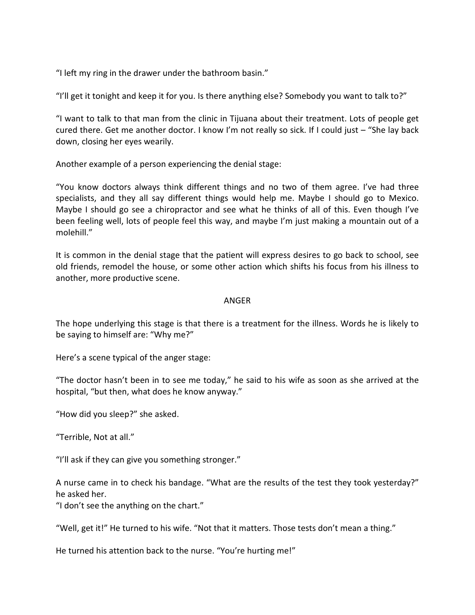"I left my ring in the drawer under the bathroom basin."

"I'll get it tonight and keep it for you. Is there anything else? Somebody you want to talk to?"

"I want to talk to that man from the clinic in Tijuana about their treatment. Lots of people get cured there. Get me another doctor. I know I'm not really so sick. If I could just – "She lay back down, closing her eyes wearily.

Another example of a person experiencing the denial stage:

"You know doctors always think different things and no two of them agree. I've had three specialists, and they all say different things would help me. Maybe I should go to Mexico. Maybe I should go see a chiropractor and see what he thinks of all of this. Even though I've been feeling well, lots of people feel this way, and maybe I'm just making a mountain out of a molehill."

It is common in the denial stage that the patient will express desires to go back to school, see old friends, remodel the house, or some other action which shifts his focus from his illness to another, more productive scene.

## ANGER

The hope underlying this stage is that there is a treatment for the illness. Words he is likely to be saying to himself are: "Why me?"

Here's a scene typical of the anger stage:

"The doctor hasn't been in to see me today," he said to his wife as soon as she arrived at the hospital, "but then, what does he know anyway."

"How did you sleep?" she asked.

"Terrible, Not at all."

"I'll ask if they can give you something stronger."

A nurse came in to check his bandage. "What are the results of the test they took yesterday?" he asked her.

"I don't see the anything on the chart."

"Well, get it!" He turned to his wife. "Not that it matters. Those tests don't mean a thing."

He turned his attention back to the nurse. "You're hurting me!"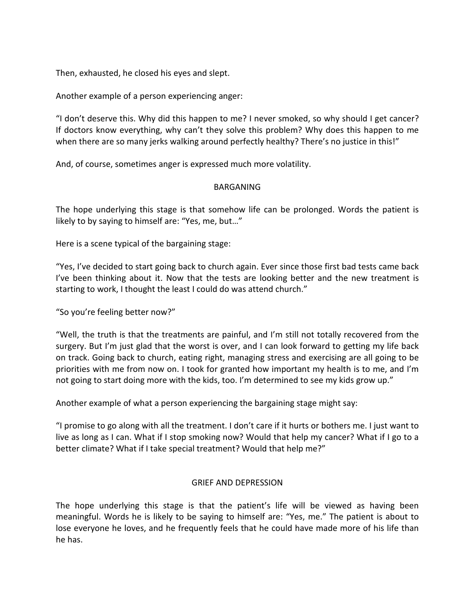Then, exhausted, he closed his eyes and slept.

Another example of a person experiencing anger:

"I don't deserve this. Why did this happen to me? I never smoked, so why should I get cancer? If doctors know everything, why can't they solve this problem? Why does this happen to me when there are so many jerks walking around perfectly healthy? There's no justice in this!"

And, of course, sometimes anger is expressed much more volatility.

## BARGANING

The hope underlying this stage is that somehow life can be prolonged. Words the patient is likely to by saying to himself are: "Yes, me, but…"

Here is a scene typical of the bargaining stage:

"Yes, I've decided to start going back to church again. Ever since those first bad tests came back I've been thinking about it. Now that the tests are looking better and the new treatment is starting to work, I thought the least I could do was attend church."

"So you're feeling better now?"

"Well, the truth is that the treatments are painful, and I'm still not totally recovered from the surgery. But I'm just glad that the worst is over, and I can look forward to getting my life back on track. Going back to church, eating right, managing stress and exercising are all going to be priorities with me from now on. I took for granted how important my health is to me, and I'm not going to start doing more with the kids, too. I'm determined to see my kids grow up."

Another example of what a person experiencing the bargaining stage might say:

"I promise to go along with all the treatment. I don't care if it hurts or bothers me. I just want to live as long as I can. What if I stop smoking now? Would that help my cancer? What if I go to a better climate? What if I take special treatment? Would that help me?"

# GRIEF AND DEPRESSION

The hope underlying this stage is that the patient's life will be viewed as having been meaningful. Words he is likely to be saying to himself are: "Yes, me." The patient is about to lose everyone he loves, and he frequently feels that he could have made more of his life than he has.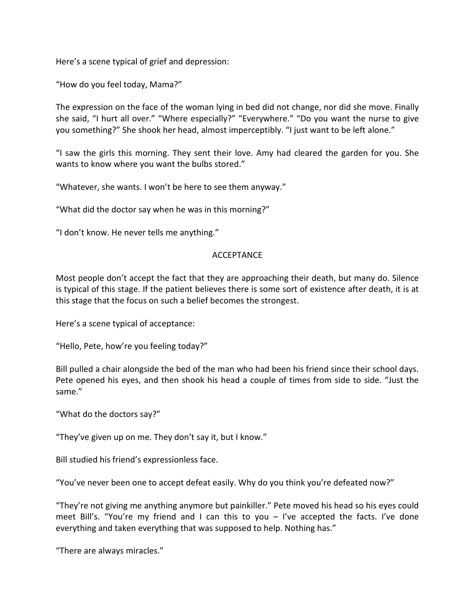Here's a scene typical of grief and depression:

"How do you feel today, Mama?"

The expression on the face of the woman lying in bed did not change, nor did she move. Finally she said, "I hurt all over." "Where especially?" "Everywhere." "Do you want the nurse to give you something?" She shook her head, almost imperceptibly. "I just want to be left alone."

"I saw the girls this morning. They sent their love. Amy had cleared the garden for you. She wants to know where you want the bulbs stored."

"Whatever, she wants. I won't be here to see them anyway."

"What did the doctor say when he was in this morning?"

"I don't know. He never tells me anything."

## ACCEPTANCE

Most people don't accept the fact that they are approaching their death, but many do. Silence is typical of this stage. If the patient believes there is some sort of existence after death, it is at this stage that the focus on such a belief becomes the strongest.

Here's a scene typical of acceptance:

"Hello, Pete, how're you feeling today?"

Bill pulled a chair alongside the bed of the man who had been his friend since their school days. Pete opened his eyes, and then shook his head a couple of times from side to side. "Just the same."

"What do the doctors say?"

"They've given up on me. They don't say it, but I know."

Bill studied his friend's expressionless face.

"You've never been one to accept defeat easily. Why do you think you're defeated now?"

"They're not giving me anything anymore but painkiller." Pete moved his head so his eyes could meet Bill's. "You're my friend and I can this to you – I've accepted the facts. I've done everything and taken everything that was supposed to help. Nothing has."

"There are always miracles."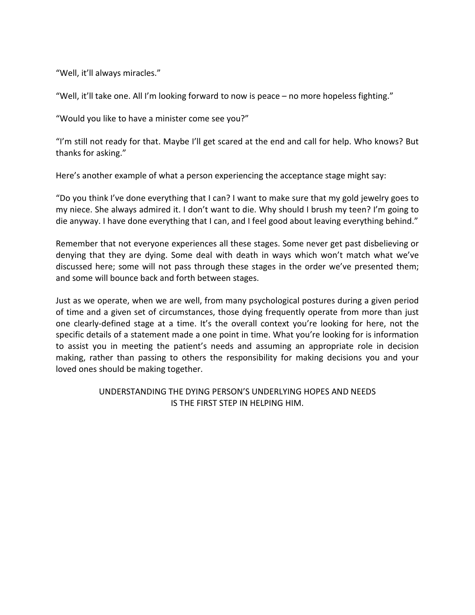"Well, it'll always miracles."

"Well, it'll take one. All I'm looking forward to now is peace – no more hopeless fighting."

"Would you like to have a minister come see you?"

"I'm still not ready for that. Maybe I'll get scared at the end and call for help. Who knows? But thanks for asking."

Here's another example of what a person experiencing the acceptance stage might say:

"Do you think I've done everything that I can? I want to make sure that my gold jewelry goes to my niece. She always admired it. I don't want to die. Why should I brush my teen? I'm going to die anyway. I have done everything that I can, and I feel good about leaving everything behind."

Remember that not everyone experiences all these stages. Some never get past disbelieving or denying that they are dying. Some deal with death in ways which won't match what we've discussed here; some will not pass through these stages in the order we've presented them; and some will bounce back and forth between stages.

Just as we operate, when we are well, from many psychological postures during a given period of time and a given set of circumstances, those dying frequently operate from more than just one clearly-defined stage at a time. It's the overall context you're looking for here, not the specific details of a statement made a one point in time. What you're looking for is information to assist you in meeting the patient's needs and assuming an appropriate role in decision making, rather than passing to others the responsibility for making decisions you and your loved ones should be making together.

## UNDERSTANDING THE DYING PERSON'S UNDERLYING HOPES AND NEEDS IS THE FIRST STEP IN HELPING HIM.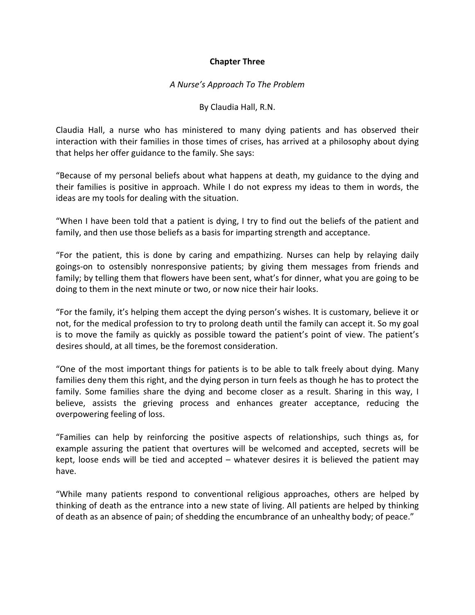## Chapter Three

## A Nurse's Approach To The Problem

#### By Claudia Hall, R.N.

Claudia Hall, a nurse who has ministered to many dying patients and has observed their interaction with their families in those times of crises, has arrived at a philosophy about dying that helps her offer guidance to the family. She says:

"Because of my personal beliefs about what happens at death, my guidance to the dying and their families is positive in approach. While I do not express my ideas to them in words, the ideas are my tools for dealing with the situation.

"When I have been told that a patient is dying, I try to find out the beliefs of the patient and family, and then use those beliefs as a basis for imparting strength and acceptance.

"For the patient, this is done by caring and empathizing. Nurses can help by relaying daily goings-on to ostensibly nonresponsive patients; by giving them messages from friends and family; by telling them that flowers have been sent, what's for dinner, what you are going to be doing to them in the next minute or two, or now nice their hair looks.

"For the family, it's helping them accept the dying person's wishes. It is customary, believe it or not, for the medical profession to try to prolong death until the family can accept it. So my goal is to move the family as quickly as possible toward the patient's point of view. The patient's desires should, at all times, be the foremost consideration.

"One of the most important things for patients is to be able to talk freely about dying. Many families deny them this right, and the dying person in turn feels as though he has to protect the family. Some families share the dying and become closer as a result. Sharing in this way, I believe, assists the grieving process and enhances greater acceptance, reducing the overpowering feeling of loss.

"Families can help by reinforcing the positive aspects of relationships, such things as, for example assuring the patient that overtures will be welcomed and accepted, secrets will be kept, loose ends will be tied and accepted – whatever desires it is believed the patient may have.

"While many patients respond to conventional religious approaches, others are helped by thinking of death as the entrance into a new state of living. All patients are helped by thinking of death as an absence of pain; of shedding the encumbrance of an unhealthy body; of peace."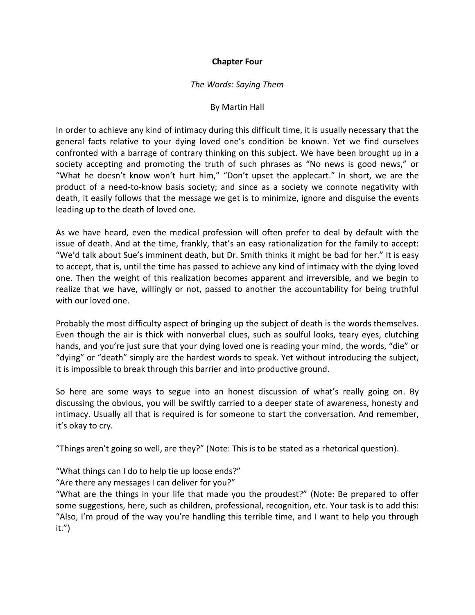## Chapter Four

#### The Words: Saying Them

#### By Martin Hall

In order to achieve any kind of intimacy during this difficult time, it is usually necessary that the general facts relative to your dying loved one's condition be known. Yet we find ourselves confronted with a barrage of contrary thinking on this subject. We have been brought up in a society accepting and promoting the truth of such phrases as "No news is good news," or "What he doesn't know won't hurt him," "Don't upset the applecart." In short, we are the product of a need-to-know basis society; and since as a society we connote negativity with death, it easily follows that the message we get is to minimize, ignore and disguise the events leading up to the death of loved one.

As we have heard, even the medical profession will often prefer to deal by default with the issue of death. And at the time, frankly, that's an easy rationalization for the family to accept: "We'd talk about Sue's imminent death, but Dr. Smith thinks it might be bad for her." It is easy to accept, that is, until the time has passed to achieve any kind of intimacy with the dying loved one. Then the weight of this realization becomes apparent and irreversible, and we begin to realize that we have, willingly or not, passed to another the accountability for being truthful with our loved one.

Probably the most difficulty aspect of bringing up the subject of death is the words themselves. Even though the air is thick with nonverbal clues, such as soulful looks, teary eyes, clutching hands, and you're just sure that your dying loved one is reading your mind, the words, "die" or "dying" or "death" simply are the hardest words to speak. Yet without introducing the subject, it is impossible to break through this barrier and into productive ground.

So here are some ways to segue into an honest discussion of what's really going on. By discussing the obvious, you will be swiftly carried to a deeper state of awareness, honesty and intimacy. Usually all that is required is for someone to start the conversation. And remember, it's okay to cry.

"Things aren't going so well, are they?" (Note: This is to be stated as a rhetorical question).

"What things can I do to help tie up loose ends?"

"Are there any messages I can deliver for you?"

"What are the things in your life that made you the proudest?" (Note: Be prepared to offer some suggestions, here, such as children, professional, recognition, etc. Your task is to add this: "Also, I'm proud of the way you're handling this terrible time, and I want to help you through it.")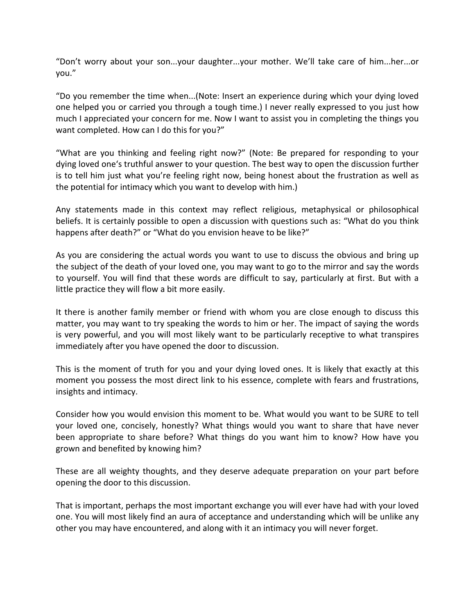"Don't worry about your son...your daughter...your mother. We'll take care of him...her...or you."

"Do you remember the time when...(Note: Insert an experience during which your dying loved one helped you or carried you through a tough time.) I never really expressed to you just how much I appreciated your concern for me. Now I want to assist you in completing the things you want completed. How can I do this for you?"

"What are you thinking and feeling right now?" (Note: Be prepared for responding to your dying loved one's truthful answer to your question. The best way to open the discussion further is to tell him just what you're feeling right now, being honest about the frustration as well as the potential for intimacy which you want to develop with him.)

Any statements made in this context may reflect religious, metaphysical or philosophical beliefs. It is certainly possible to open a discussion with questions such as: "What do you think happens after death?" or "What do you envision heave to be like?"

As you are considering the actual words you want to use to discuss the obvious and bring up the subject of the death of your loved one, you may want to go to the mirror and say the words to yourself. You will find that these words are difficult to say, particularly at first. But with a little practice they will flow a bit more easily.

It there is another family member or friend with whom you are close enough to discuss this matter, you may want to try speaking the words to him or her. The impact of saying the words is very powerful, and you will most likely want to be particularly receptive to what transpires immediately after you have opened the door to discussion.

This is the moment of truth for you and your dying loved ones. It is likely that exactly at this moment you possess the most direct link to his essence, complete with fears and frustrations, insights and intimacy.

Consider how you would envision this moment to be. What would you want to be SURE to tell your loved one, concisely, honestly? What things would you want to share that have never been appropriate to share before? What things do you want him to know? How have you grown and benefited by knowing him?

These are all weighty thoughts, and they deserve adequate preparation on your part before opening the door to this discussion.

That is important, perhaps the most important exchange you will ever have had with your loved one. You will most likely find an aura of acceptance and understanding which will be unlike any other you may have encountered, and along with it an intimacy you will never forget.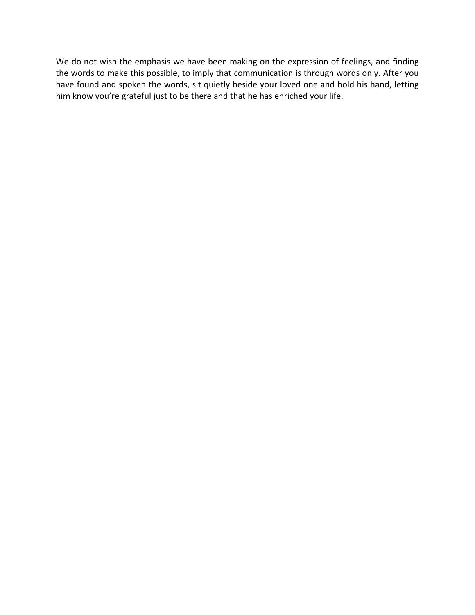We do not wish the emphasis we have been making on the expression of feelings, and finding the words to make this possible, to imply that communication is through words only. After you have found and spoken the words, sit quietly beside your loved one and hold his hand, letting him know you're grateful just to be there and that he has enriched your life.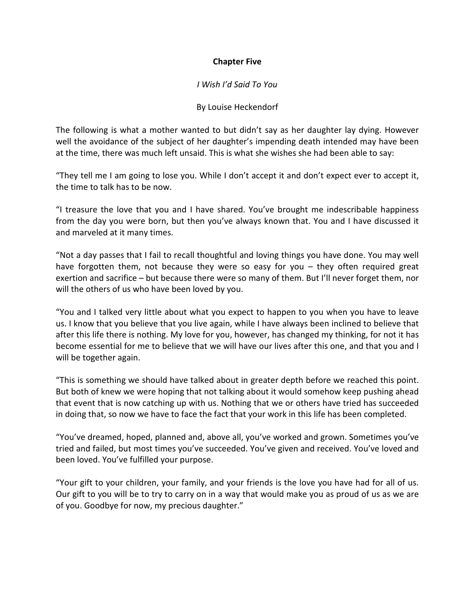## Chapter Five

#### I Wish I'd Said To You

#### By Louise Heckendorf

The following is what a mother wanted to but didn't say as her daughter lay dying. However well the avoidance of the subject of her daughter's impending death intended may have been at the time, there was much left unsaid. This is what she wishes she had been able to say:

"They tell me I am going to lose you. While I don't accept it and don't expect ever to accept it, the time to talk has to be now.

"I treasure the love that you and I have shared. You've brought me indescribable happiness from the day you were born, but then you've always known that. You and I have discussed it and marveled at it many times.

"Not a day passes that I fail to recall thoughtful and loving things you have done. You may well have forgotten them, not because they were so easy for you – they often required great exertion and sacrifice – but because there were so many of them. But I'll never forget them, nor will the others of us who have been loved by you.

"You and I talked very little about what you expect to happen to you when you have to leave us. I know that you believe that you live again, while I have always been inclined to believe that after this life there is nothing. My love for you, however, has changed my thinking, for not it has become essential for me to believe that we will have our lives after this one, and that you and I will be together again.

"This is something we should have talked about in greater depth before we reached this point. But both of knew we were hoping that not talking about it would somehow keep pushing ahead that event that is now catching up with us. Nothing that we or others have tried has succeeded in doing that, so now we have to face the fact that your work in this life has been completed.

"You've dreamed, hoped, planned and, above all, you've worked and grown. Sometimes you've tried and failed, but most times you've succeeded. You've given and received. You've loved and been loved. You've fulfilled your purpose.

"Your gift to your children, your family, and your friends is the love you have had for all of us. Our gift to you will be to try to carry on in a way that would make you as proud of us as we are of you. Goodbye for now, my precious daughter."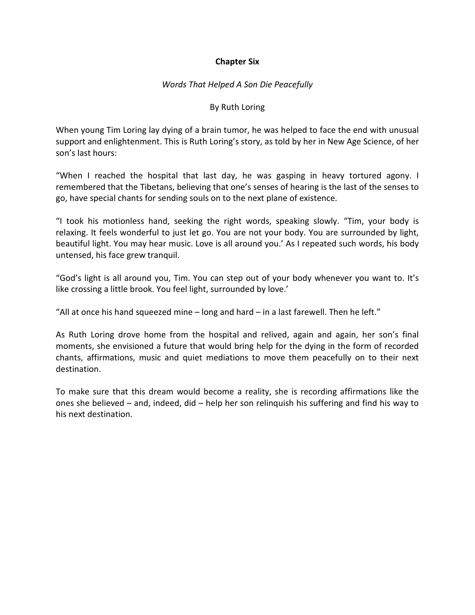## Chapter Six

## Words That Helped A Son Die Peacefully

#### By Ruth Loring

When young Tim Loring lay dying of a brain tumor, he was helped to face the end with unusual support and enlightenment. This is Ruth Loring's story, as told by her in New Age Science, of her son's last hours:

"When I reached the hospital that last day, he was gasping in heavy tortured agony. I remembered that the Tibetans, believing that one's senses of hearing is the last of the senses to go, have special chants for sending souls on to the next plane of existence.

"I took his motionless hand, seeking the right words, speaking slowly. "Tim, your body is relaxing. It feels wonderful to just let go. You are not your body. You are surrounded by light, beautiful light. You may hear music. Love is all around you.' As I repeated such words, his body untensed, his face grew tranquil.

"God's light is all around you, Tim. You can step out of your body whenever you want to. It's like crossing a little brook. You feel light, surrounded by love.'

"All at once his hand squeezed mine  $-$  long and hard  $-$  in a last farewell. Then he left."

As Ruth Loring drove home from the hospital and relived, again and again, her son's final moments, she envisioned a future that would bring help for the dying in the form of recorded chants, affirmations, music and quiet mediations to move them peacefully on to their next destination.

To make sure that this dream would become a reality, she is recording affirmations like the ones she believed – and, indeed, did – help her son relinquish his suffering and find his way to his next destination.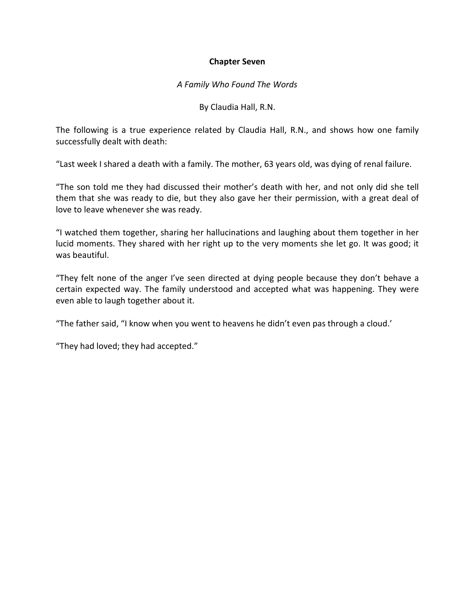#### Chapter Seven

#### A Family Who Found The Words

By Claudia Hall, R.N.

The following is a true experience related by Claudia Hall, R.N., and shows how one family successfully dealt with death:

"Last week I shared a death with a family. The mother, 63 years old, was dying of renal failure.

"The son told me they had discussed their mother's death with her, and not only did she tell them that she was ready to die, but they also gave her their permission, with a great deal of love to leave whenever she was ready.

"I watched them together, sharing her hallucinations and laughing about them together in her lucid moments. They shared with her right up to the very moments she let go. It was good; it was beautiful.

"They felt none of the anger I've seen directed at dying people because they don't behave a certain expected way. The family understood and accepted what was happening. They were even able to laugh together about it.

"The father said, "I know when you went to heavens he didn't even pas through a cloud.'

"They had loved; they had accepted."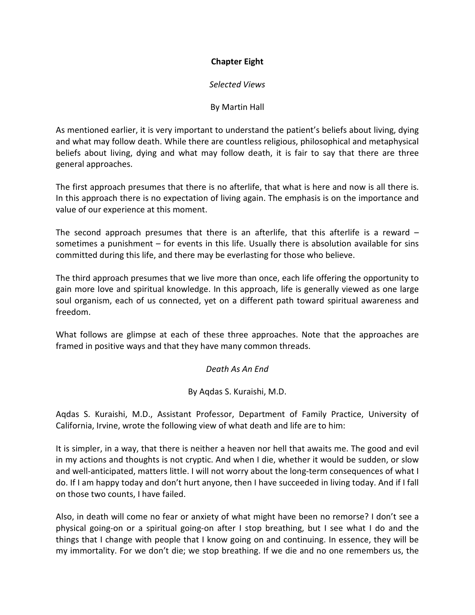# Chapter Eight

## Selected Views

## By Martin Hall

As mentioned earlier, it is very important to understand the patient's beliefs about living, dying and what may follow death. While there are countless religious, philosophical and metaphysical beliefs about living, dying and what may follow death, it is fair to say that there are three general approaches.

The first approach presumes that there is no afterlife, that what is here and now is all there is. In this approach there is no expectation of living again. The emphasis is on the importance and value of our experience at this moment.

The second approach presumes that there is an afterlife, that this afterlife is a reward – sometimes a punishment – for events in this life. Usually there is absolution available for sins committed during this life, and there may be everlasting for those who believe.

The third approach presumes that we live more than once, each life offering the opportunity to gain more love and spiritual knowledge. In this approach, life is generally viewed as one large soul organism, each of us connected, yet on a different path toward spiritual awareness and freedom.

What follows are glimpse at each of these three approaches. Note that the approaches are framed in positive ways and that they have many common threads.

Death As An End

By Aqdas S. Kuraishi, M.D.

Aqdas S. Kuraishi, M.D., Assistant Professor, Department of Family Practice, University of California, Irvine, wrote the following view of what death and life are to him:

It is simpler, in a way, that there is neither a heaven nor hell that awaits me. The good and evil in my actions and thoughts is not cryptic. And when I die, whether it would be sudden, or slow and well-anticipated, matters little. I will not worry about the long-term consequences of what I do. If I am happy today and don't hurt anyone, then I have succeeded in living today. And if I fall on those two counts, I have failed.

Also, in death will come no fear or anxiety of what might have been no remorse? I don't see a physical going-on or a spiritual going-on after I stop breathing, but I see what I do and the things that I change with people that I know going on and continuing. In essence, they will be my immortality. For we don't die; we stop breathing. If we die and no one remembers us, the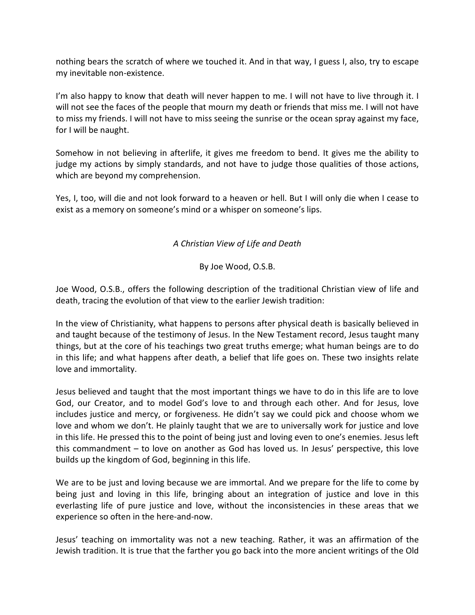nothing bears the scratch of where we touched it. And in that way, I guess I, also, try to escape my inevitable non-existence.

I'm also happy to know that death will never happen to me. I will not have to live through it. I will not see the faces of the people that mourn my death or friends that miss me. I will not have to miss my friends. I will not have to miss seeing the sunrise or the ocean spray against my face, for I will be naught.

Somehow in not believing in afterlife, it gives me freedom to bend. It gives me the ability to judge my actions by simply standards, and not have to judge those qualities of those actions, which are beyond my comprehension.

Yes, I, too, will die and not look forward to a heaven or hell. But I will only die when I cease to exist as a memory on someone's mind or a whisper on someone's lips.

# A Christian View of Life and Death

By Joe Wood, O.S.B.

Joe Wood, O.S.B., offers the following description of the traditional Christian view of life and death, tracing the evolution of that view to the earlier Jewish tradition:

In the view of Christianity, what happens to persons after physical death is basically believed in and taught because of the testimony of Jesus. In the New Testament record, Jesus taught many things, but at the core of his teachings two great truths emerge; what human beings are to do in this life; and what happens after death, a belief that life goes on. These two insights relate love and immortality.

Jesus believed and taught that the most important things we have to do in this life are to love God, our Creator, and to model God's love to and through each other. And for Jesus, love includes justice and mercy, or forgiveness. He didn't say we could pick and choose whom we love and whom we don't. He plainly taught that we are to universally work for justice and love in this life. He pressed this to the point of being just and loving even to one's enemies. Jesus left this commandment – to love on another as God has loved us. In Jesus' perspective, this love builds up the kingdom of God, beginning in this life.

We are to be just and loving because we are immortal. And we prepare for the life to come by being just and loving in this life, bringing about an integration of justice and love in this everlasting life of pure justice and love, without the inconsistencies in these areas that we experience so often in the here-and-now.

Jesus' teaching on immortality was not a new teaching. Rather, it was an affirmation of the Jewish tradition. It is true that the farther you go back into the more ancient writings of the Old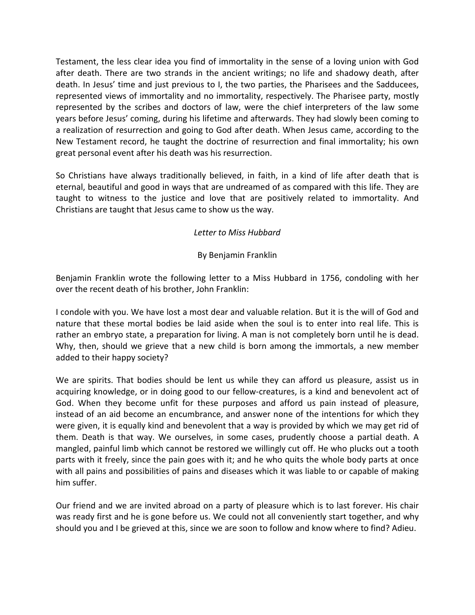Testament, the less clear idea you find of immortality in the sense of a loving union with God after death. There are two strands in the ancient writings; no life and shadowy death, after death. In Jesus' time and just previous to I, the two parties, the Pharisees and the Sadducees, represented views of immortality and no immortality, respectively. The Pharisee party, mostly represented by the scribes and doctors of law, were the chief interpreters of the law some years before Jesus' coming, during his lifetime and afterwards. They had slowly been coming to a realization of resurrection and going to God after death. When Jesus came, according to the New Testament record, he taught the doctrine of resurrection and final immortality; his own great personal event after his death was his resurrection.

So Christians have always traditionally believed, in faith, in a kind of life after death that is eternal, beautiful and good in ways that are undreamed of as compared with this life. They are taught to witness to the justice and love that are positively related to immortality. And Christians are taught that Jesus came to show us the way.

# Letter to Miss Hubbard

## By Benjamin Franklin

Benjamin Franklin wrote the following letter to a Miss Hubbard in 1756, condoling with her over the recent death of his brother, John Franklin:

I condole with you. We have lost a most dear and valuable relation. But it is the will of God and nature that these mortal bodies be laid aside when the soul is to enter into real life. This is rather an embryo state, a preparation for living. A man is not completely born until he is dead. Why, then, should we grieve that a new child is born among the immortals, a new member added to their happy society?

We are spirits. That bodies should be lent us while they can afford us pleasure, assist us in acquiring knowledge, or in doing good to our fellow-creatures, is a kind and benevolent act of God. When they become unfit for these purposes and afford us pain instead of pleasure, instead of an aid become an encumbrance, and answer none of the intentions for which they were given, it is equally kind and benevolent that a way is provided by which we may get rid of them. Death is that way. We ourselves, in some cases, prudently choose a partial death. A mangled, painful limb which cannot be restored we willingly cut off. He who plucks out a tooth parts with it freely, since the pain goes with it; and he who quits the whole body parts at once with all pains and possibilities of pains and diseases which it was liable to or capable of making him suffer.

Our friend and we are invited abroad on a party of pleasure which is to last forever. His chair was ready first and he is gone before us. We could not all conveniently start together, and why should you and I be grieved at this, since we are soon to follow and know where to find? Adieu.